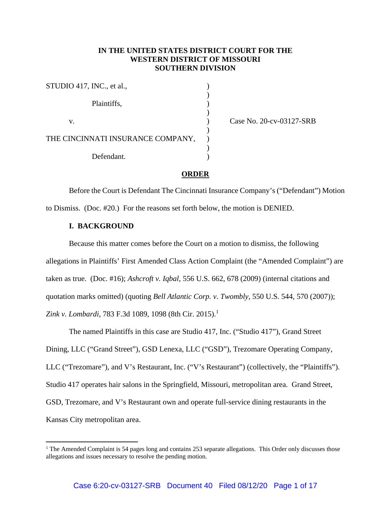## **IN THE UNITED STATES DISTRICT COURT FOR THE WESTERN DISTRICT OF MISSOURI SOUTHERN DIVISION**

STUDIO 417, INC., et al., )  $)$ Plaintiffs,  $\qquad \qquad$ )  $)$ v. ) Case No. 20-cv-03127-SRB  $)$ THE CINCINNATI INSURANCE COMPANY,  $)$ Defendant.

### **ORDER**

 Before the Court is Defendant The Cincinnati Insurance Company's ("Defendant") Motion to Dismiss. (Doc. #20.) For the reasons set forth below, the motion is DENIED.

### **I. BACKGROUND**

Because this matter comes before the Court on a motion to dismiss, the following allegations in Plaintiffs' First Amended Class Action Complaint (the "Amended Complaint") are taken as true. (Doc. #16); *Ashcroft v. Iqbal*, 556 U.S. 662, 678 (2009) (internal citations and quotation marks omitted) (quoting *Bell Atlantic Corp. v. Twombly*, 550 U.S. 544, 570 (2007)); *Zink v. Lombardi*, 783 F.3d 1089, 1098 (8th Cir. 2015).<sup>1</sup>

 The named Plaintiffs in this case are Studio 417, Inc. ("Studio 417"), Grand Street Dining, LLC ("Grand Street"), GSD Lenexa, LLC ("GSD"), Trezomare Operating Company, LLC ("Trezomare"), and V's Restaurant, Inc. ("V's Restaurant") (collectively, the "Plaintiffs"). Studio 417 operates hair salons in the Springfield, Missouri, metropolitan area. Grand Street, GSD, Trezomare, and V's Restaurant own and operate full-service dining restaurants in the Kansas City metropolitan area.

<sup>&</sup>lt;sup>1</sup> The Amended Complaint is 54 pages long and contains 253 separate allegations. This Order only discusses those allegations and issues necessary to resolve the pending motion.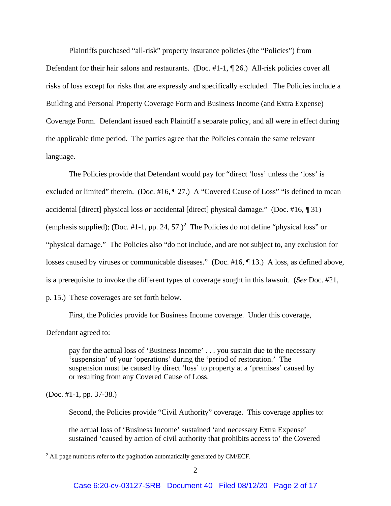Plaintiffs purchased "all-risk" property insurance policies (the "Policies") from Defendant for their hair salons and restaurants. (Doc. #1-1, \mn 26.) All-risk policies cover all risks of loss except for risks that are expressly and specifically excluded. The Policies include a Building and Personal Property Coverage Form and Business Income (and Extra Expense) Coverage Form. Defendant issued each Plaintiff a separate policy, and all were in effect during the applicable time period. The parties agree that the Policies contain the same relevant language.

 The Policies provide that Defendant would pay for "direct 'loss' unless the 'loss' is excluded or limited" therein. (Doc. #16, ¶ 27.) A "Covered Cause of Loss" "is defined to mean accidental [direct] physical loss *or* accidental [direct] physical damage." (Doc. #16, ¶ 31) (emphasis supplied); (Doc. #1-1, pp. 24, 57.)<sup>2</sup> The Policies do not define "physical loss" or "physical damage." The Policies also "do not include, and are not subject to, any exclusion for losses caused by viruses or communicable diseases." (Doc. #16, ¶ 13.) A loss, as defined above, is a prerequisite to invoke the different types of coverage sought in this lawsuit. (*See* Doc. #21, p. 15.) These coverages are set forth below.

First, the Policies provide for Business Income coverage. Under this coverage,

Defendant agreed to:

pay for the actual loss of 'Business Income' . . . you sustain due to the necessary 'suspension' of your 'operations' during the 'period of restoration.' The suspension must be caused by direct 'loss' to property at a 'premises' caused by or resulting from any Covered Cause of Loss.

(Doc. #1-1, pp. 37-38.)

Second, the Policies provide "Civil Authority" coverage. This coverage applies to:

the actual loss of 'Business Income' sustained 'and necessary Extra Expense' sustained 'caused by action of civil authority that prohibits access to' the Covered

<sup>&</sup>lt;sup>2</sup> All page numbers refer to the pagination automatically generated by CM/ECF.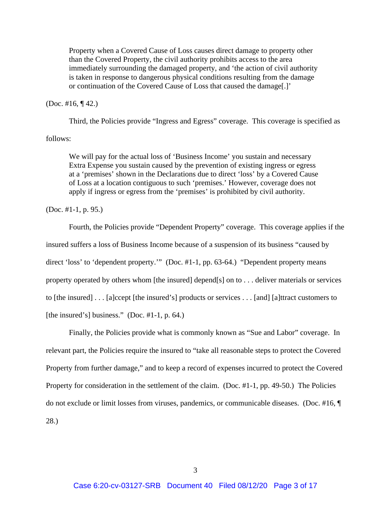Property when a Covered Cause of Loss causes direct damage to property other than the Covered Property, the civil authority prohibits access to the area immediately surrounding the damaged property, and 'the action of civil authority is taken in response to dangerous physical conditions resulting from the damage or continuation of the Covered Cause of Loss that caused the damage[.]'

(Doc. #16, ¶ 42.)

Third, the Policies provide "Ingress and Egress" coverage. This coverage is specified as

follows:

We will pay for the actual loss of 'Business Income' you sustain and necessary Extra Expense you sustain caused by the prevention of existing ingress or egress at a 'premises' shown in the Declarations due to direct 'loss' by a Covered Cause of Loss at a location contiguous to such 'premises.' However, coverage does not apply if ingress or egress from the 'premises' is prohibited by civil authority.

(Doc. #1-1, p. 95.)

 Fourth, the Policies provide "Dependent Property" coverage. This coverage applies if the insured suffers a loss of Business Income because of a suspension of its business "caused by direct 'loss' to 'dependent property.'" (Doc. #1-1, pp. 63-64.) "Dependent property means property operated by others whom [the insured] depend[s] on to . . . deliver materials or services to [the insured] . . . [a]ccept [the insured's] products or services . . . [and] [a]ttract customers to [the insured's] business." (Doc.  $\#1-1$ , p. 64.)

 Finally, the Policies provide what is commonly known as "Sue and Labor" coverage. In relevant part, the Policies require the insured to "take all reasonable steps to protect the Covered Property from further damage," and to keep a record of expenses incurred to protect the Covered Property for consideration in the settlement of the claim. (Doc. #1-1, pp. 49-50.) The Policies do not exclude or limit losses from viruses, pandemics, or communicable diseases. (Doc. #16, ¶ 28.)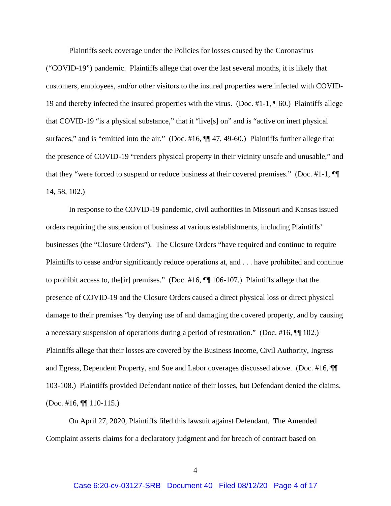Plaintiffs seek coverage under the Policies for losses caused by the Coronavirus ("COVID-19") pandemic. Plaintiffs allege that over the last several months, it is likely that customers, employees, and/or other visitors to the insured properties were infected with COVID-19 and thereby infected the insured properties with the virus. (Doc. #1-1, ¶ 60.) Plaintiffs allege that COVID-19 "is a physical substance," that it "live[s] on" and is "active on inert physical surfaces," and is "emitted into the air." (Doc. #16,  $\P$  47, 49-60.) Plaintiffs further allege that the presence of COVID-19 "renders physical property in their vicinity unsafe and unusable," and that they "were forced to suspend or reduce business at their covered premises." (Doc. #1-1, ¶¶ 14, 58, 102.)

In response to the COVID-19 pandemic, civil authorities in Missouri and Kansas issued orders requiring the suspension of business at various establishments, including Plaintiffs' businesses (the "Closure Orders"). The Closure Orders "have required and continue to require Plaintiffs to cease and/or significantly reduce operations at, and . . . have prohibited and continue to prohibit access to, the[ir] premises." (Doc. #16, ¶¶ 106-107.) Plaintiffs allege that the presence of COVID-19 and the Closure Orders caused a direct physical loss or direct physical damage to their premises "by denying use of and damaging the covered property, and by causing a necessary suspension of operations during a period of restoration." (Doc. #16, ¶¶ 102.) Plaintiffs allege that their losses are covered by the Business Income, Civil Authority, Ingress and Egress, Dependent Property, and Sue and Labor coverages discussed above. (Doc. #16, ¶¶ 103-108.) Plaintiffs provided Defendant notice of their losses, but Defendant denied the claims. (Doc. #16, ¶¶ 110-115.)

 On April 27, 2020, Plaintiffs filed this lawsuit against Defendant. The Amended Complaint asserts claims for a declaratory judgment and for breach of contract based on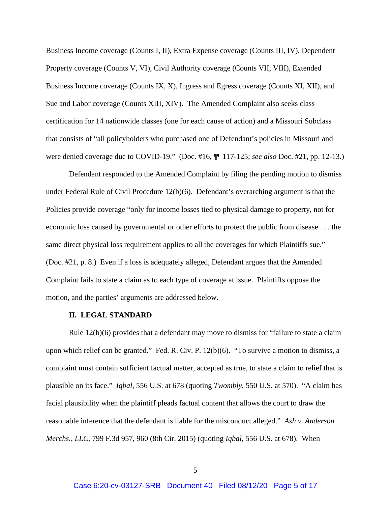Business Income coverage (Counts I, II), Extra Expense coverage (Counts III, IV), Dependent Property coverage (Counts V, VI), Civil Authority coverage (Counts VII, VIII), Extended Business Income coverage (Counts IX, X), Ingress and Egress coverage (Counts XI, XII), and Sue and Labor coverage (Counts XIII, XIV). The Amended Complaint also seeks class certification for 14 nationwide classes (one for each cause of action) and a Missouri Subclass that consists of "all policyholders who purchased one of Defendant's policies in Missouri and were denied coverage due to COVID-19." (Doc. #16, ¶¶ 117-125; *see also* Doc. #21, pp. 12-13.)

 Defendant responded to the Amended Complaint by filing the pending motion to dismiss under Federal Rule of Civil Procedure 12(b)(6). Defendant's overarching argument is that the Policies provide coverage "only for income losses tied to physical damage to property, not for economic loss caused by governmental or other efforts to protect the public from disease . . . the same direct physical loss requirement applies to all the coverages for which Plaintiffs sue." (Doc. #21, p. 8.) Even if a loss is adequately alleged, Defendant argues that the Amended Complaint fails to state a claim as to each type of coverage at issue. Plaintiffs oppose the motion, and the parties' arguments are addressed below.

#### **II. LEGAL STANDARD**

Rule 12(b)(6) provides that a defendant may move to dismiss for "failure to state a claim upon which relief can be granted." Fed. R. Civ. P. 12(b)(6). "To survive a motion to dismiss, a complaint must contain sufficient factual matter, accepted as true, to state a claim to relief that is plausible on its face." *Iqbal*, 556 U.S. at 678 (quoting *Twombly*, 550 U.S. at 570). "A claim has facial plausibility when the plaintiff pleads factual content that allows the court to draw the reasonable inference that the defendant is liable for the misconduct alleged." *Ash v. Anderson Merchs., LLC*, 799 F.3d 957, 960 (8th Cir. 2015) (quoting *Iqbal*, 556 U.S. at 678). When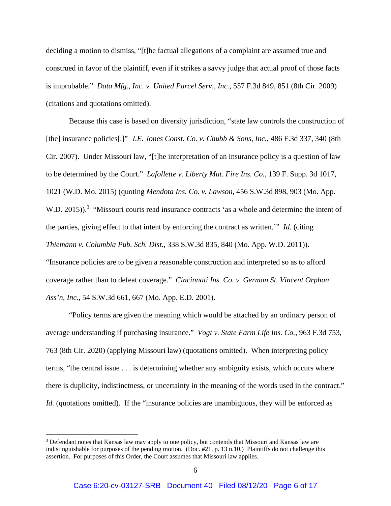deciding a motion to dismiss, "[t]he factual allegations of a complaint are assumed true and construed in favor of the plaintiff, even if it strikes a savvy judge that actual proof of those facts is improbable." *Data Mfg., Inc. v. United Parcel Serv., Inc.*, 557 F.3d 849, 851 (8th Cir. 2009) (citations and quotations omitted).

Because this case is based on diversity jurisdiction, "state law controls the construction of [the] insurance policies[.]" *J.E. Jones Const. Co. v. Chubb & Sons, Inc.*, 486 F.3d 337, 340 (8th Cir. 2007). Under Missouri law, "[t]he interpretation of an insurance policy is a question of law to be determined by the Court." *Lafollette v. Liberty Mut. Fire Ins. Co.*, 139 F. Supp. 3d 1017, 1021 (W.D. Mo. 2015) (quoting *Mendota Ins. Co. v. Lawson*, 456 S.W.3d 898, 903 (Mo. App. W.D. 2015)).<sup>3</sup> "Missouri courts read insurance contracts 'as a whole and determine the intent of the parties, giving effect to that intent by enforcing the contract as written.'" *Id.* (citing *Thiemann v. Columbia Pub. Sch. Dist.*, 338 S.W.3d 835, 840 (Mo. App. W.D. 2011)). "Insurance policies are to be given a reasonable construction and interpreted so as to afford coverage rather than to defeat coverage." *Cincinnati Ins. Co. v. German St. Vincent Orphan Ass'n, Inc.*, 54 S.W.3d 661, 667 (Mo. App. E.D. 2001).

"Policy terms are given the meaning which would be attached by an ordinary person of average understanding if purchasing insurance." *Vogt v. State Farm Life Ins. Co.*, 963 F.3d 753, 763 (8th Cir. 2020) (applying Missouri law) (quotations omitted). When interpreting policy terms, "the central issue . . . is determining whether any ambiguity exists, which occurs where there is duplicity, indistinctness, or uncertainty in the meaning of the words used in the contract." *Id.* (quotations omitted). If the "insurance policies are unambiguous, they will be enforced as

<sup>&</sup>lt;sup>3</sup> Defendant notes that Kansas law may apply to one policy, but contends that Missouri and Kansas law are indistinguishable for purposes of the pending motion. (Doc. #21, p. 13 n.10.) Plaintiffs do not challenge this assertion. For purposes of this Order, the Court assumes that Missouri law applies.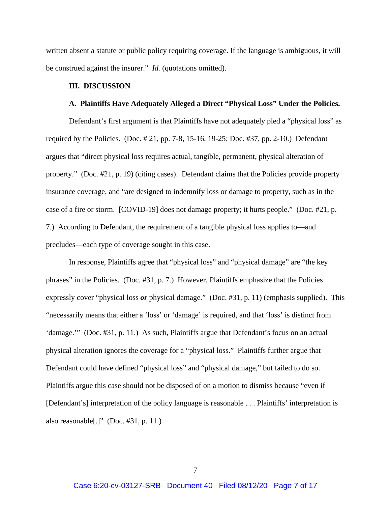written absent a statute or public policy requiring coverage. If the language is ambiguous, it will be construed against the insurer." *Id.* (quotations omitted).

#### **III. DISCUSSION**

#### **A. Plaintiffs Have Adequately Alleged a Direct "Physical Loss" Under the Policies.**

 Defendant's first argument is that Plaintiffs have not adequately pled a "physical loss" as required by the Policies. (Doc. # 21, pp. 7-8, 15-16, 19-25; Doc. #37, pp. 2-10.) Defendant argues that "direct physical loss requires actual, tangible, permanent, physical alteration of property." (Doc. #21, p. 19) (citing cases). Defendant claims that the Policies provide property insurance coverage, and "are designed to indemnify loss or damage to property, such as in the case of a fire or storm. [COVID-19] does not damage property; it hurts people." (Doc. #21, p. 7.) According to Defendant, the requirement of a tangible physical loss applies to—and precludes—each type of coverage sought in this case.

 In response, Plaintiffs agree that "physical loss" and "physical damage" are "the key phrases" in the Policies. (Doc. #31, p. 7.) However, Plaintiffs emphasize that the Policies expressly cover "physical loss *or* physical damage." (Doc. #31, p. 11) (emphasis supplied). This "necessarily means that either a 'loss' or 'damage' is required, and that 'loss' is distinct from 'damage.'" (Doc. #31, p. 11.) As such, Plaintiffs argue that Defendant's focus on an actual physical alteration ignores the coverage for a "physical loss." Plaintiffs further argue that Defendant could have defined "physical loss" and "physical damage," but failed to do so. Plaintiffs argue this case should not be disposed of on a motion to dismiss because "even if [Defendant's] interpretation of the policy language is reasonable . . . Plaintiffs' interpretation is also reasonable[.]" (Doc.  $\#31$ , p. 11.)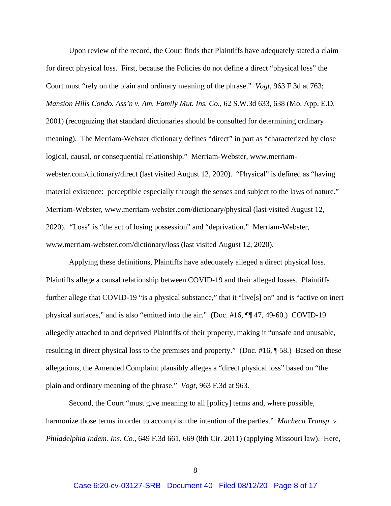Upon review of the record, the Court finds that Plaintiffs have adequately stated a claim for direct physical loss. First, because the Policies do not define a direct "physical loss" the Court must "rely on the plain and ordinary meaning of the phrase." *Vogt*, 963 F.3d at 763; *Mansion Hills Condo. Ass'n v. Am. Family Mut. Ins. Co.*, 62 S.W.3d 633, 638 (Mo. App. E.D. 2001) (recognizing that standard dictionaries should be consulted for determining ordinary meaning). The Merriam-Webster dictionary defines "direct" in part as "characterized by close logical, causal, or consequential relationship." Merriam-Webster, www.merriamwebster.com/dictionary/direct (last visited August 12, 2020). "Physical" is defined as "having material existence: perceptible especially through the senses and subject to the laws of nature." Merriam-Webster, www.merriam-webster.com/dictionary/physical (last visited August 12, 2020). "Loss" is "the act of losing possession" and "deprivation." Merriam-Webster, www.merriam-webster.com/dictionary/loss (last visited August 12, 2020).

 Applying these definitions, Plaintiffs have adequately alleged a direct physical loss. Plaintiffs allege a causal relationship between COVID-19 and their alleged losses. Plaintiffs further allege that COVID-19 "is a physical substance," that it "live[s] on" and is "active on inert physical surfaces," and is also "emitted into the air." (Doc. #16, ¶¶ 47, 49-60.) COVID-19 allegedly attached to and deprived Plaintiffs of their property, making it "unsafe and unusable, resulting in direct physical loss to the premises and property." (Doc. #16, ¶ 58.) Based on these allegations, the Amended Complaint plausibly alleges a "direct physical loss" based on "the plain and ordinary meaning of the phrase." *Vogt*, 963 F.3d at 963.

 Second, the Court "must give meaning to all [policy] terms and, where possible, harmonize those terms in order to accomplish the intention of the parties." *Macheca Transp. v. Philadelphia Indem. Ins. Co.*, 649 F.3d 661, 669 (8th Cir. 2011) (applying Missouri law). Here,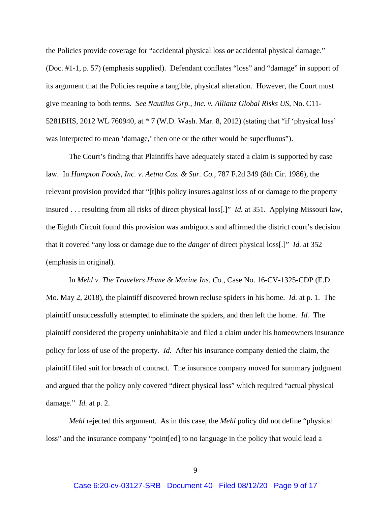the Policies provide coverage for "accidental physical loss *or* accidental physical damage." (Doc. #1-1, p. 57) (emphasis supplied). Defendant conflates "loss" and "damage" in support of its argument that the Policies require a tangible, physical alteration. However, the Court must give meaning to both terms. *See Nautilus Grp., Inc. v. Allianz Global Risks US*, No. C11- 5281BHS, 2012 WL 760940, at \* 7 (W.D. Wash. Mar. 8, 2012) (stating that "if 'physical loss' was interpreted to mean 'damage,' then one or the other would be superfluous").

 The Court's finding that Plaintiffs have adequately stated a claim is supported by case law. In *Hampton Foods, Inc. v. Aetna Cas. & Sur. Co.*, 787 F.2d 349 (8th Cir. 1986), the relevant provision provided that "[t]his policy insures against loss of or damage to the property insured . . . resulting from all risks of direct physical loss[.]" *Id.* at 351. Applying Missouri law, the Eighth Circuit found this provision was ambiguous and affirmed the district court's decision that it covered "any loss or damage due to the *danger* of direct physical loss[.]" *Id.* at 352 (emphasis in original).

 In *Mehl v. The Travelers Home & Marine Ins. Co.*, Case No. 16-CV-1325-CDP (E.D. Mo. May 2, 2018), the plaintiff discovered brown recluse spiders in his home. *Id.* at p. 1. The plaintiff unsuccessfully attempted to eliminate the spiders, and then left the home. *Id.* The plaintiff considered the property uninhabitable and filed a claim under his homeowners insurance policy for loss of use of the property. *Id.* After his insurance company denied the claim, the plaintiff filed suit for breach of contract. The insurance company moved for summary judgment and argued that the policy only covered "direct physical loss" which required "actual physical damage." *Id.* at p. 2.

*Mehl* rejected this argument. As in this case, the *Mehl* policy did not define "physical loss" and the insurance company "point[ed] to no language in the policy that would lead a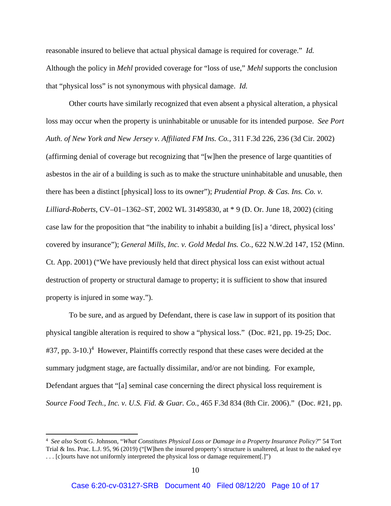reasonable insured to believe that actual physical damage is required for coverage." *Id.*  Although the policy in *Mehl* provided coverage for "loss of use," *Mehl* supports the conclusion that "physical loss" is not synonymous with physical damage. *Id.*

 Other courts have similarly recognized that even absent a physical alteration, a physical loss may occur when the property is uninhabitable or unusable for its intended purpose. *See Port Auth. of New York and New Jersey v. Affiliated FM Ins. Co.*, 311 F.3d 226, 236 (3d Cir. 2002) (affirming denial of coverage but recognizing that "[w]hen the presence of large quantities of asbestos in the air of a building is such as to make the structure uninhabitable and unusable, then there has been a distinct [physical] loss to its owner"); *Prudential Prop. & Cas. Ins. Co. v. Lilliard-Roberts*, CV–01–1362–ST, 2002 WL 31495830, at \* 9 (D. Or. June 18, 2002) (citing case law for the proposition that "the inability to inhabit a building [is] a 'direct, physical loss' covered by insurance"); *General Mills, Inc. v. Gold Medal Ins. Co.*, 622 N.W.2d 147, 152 (Minn. Ct. App. 2001) ("We have previously held that direct physical loss can exist without actual destruction of property or structural damage to property; it is sufficient to show that insured property is injured in some way.").

 To be sure, and as argued by Defendant, there is case law in support of its position that physical tangible alteration is required to show a "physical loss." (Doc. #21, pp. 19-25; Doc. #37, pp. 3-10.)<sup>4</sup> However, Plaintiffs correctly respond that these cases were decided at the summary judgment stage, are factually dissimilar, and/or are not binding. For example, Defendant argues that "[a] seminal case concerning the direct physical loss requirement is *Source Food Tech., Inc. v. U.S. Fid. & Guar. Co.*, 465 F.3d 834 (8th Cir. 2006)." (Doc. #21, pp.

<sup>4</sup> *See also* Scott G. Johnson, "*What Constitutes Physical Loss or Damage in a Property Insurance Policy?*" 54 Tort Trial & Ins. Prac. L.J. 95, 96 (2019) ("[W]hen the insured property's structure is unaltered, at least to the naked eye . . . [c]ourts have not uniformly interpreted the physical loss or damage requirement[.]")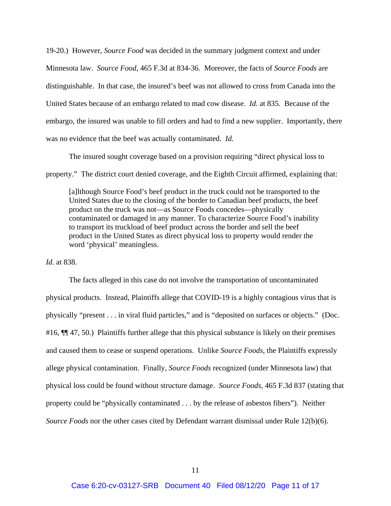19-20.) However, *Source Food* was decided in the summary judgment context and under Minnesota law. *Source Food*, 465 F.3d at 834-36. Moreover, the facts of *Source Foods* are distinguishable. In that case, the insured's beef was not allowed to cross from Canada into the United States because of an embargo related to mad cow disease. *Id.* at 835. Because of the embargo, the insured was unable to fill orders and had to find a new supplier. Importantly, there was no evidence that the beef was actually contaminated. *Id.*

The insured sought coverage based on a provision requiring "direct physical loss to

property." The district court denied coverage, and the Eighth Circuit affirmed, explaining that:

[a]lthough Source Food's beef product in the truck could not be transported to the United States due to the closing of the border to Canadian beef products, the beef product on the truck was not—as Source Foods concedes—physically contaminated or damaged in any manner. To characterize Source Food's inability to transport its truckload of beef product across the border and sell the beef product in the United States as direct physical loss to property would render the word 'physical' meaningless.

*Id.* at 838.

 The facts alleged in this case do not involve the transportation of uncontaminated physical products. Instead, Plaintiffs allege that COVID-19 is a highly contagious virus that is physically "present . . . in viral fluid particles," and is "deposited on surfaces or objects." (Doc. #16,  $\P$  47, 50.) Plaintiffs further allege that this physical substance is likely on their premises and caused them to cease or suspend operations. Unlike *Source Foods*, the Plaintiffs expressly allege physical contamination. Finally, *Source Foods* recognized (under Minnesota law) that physical loss could be found without structure damage. *Source Foods*, 465 F.3d 837 (stating that property could be "physically contaminated . . . by the release of asbestos fibers"). Neither *Source Foods* nor the other cases cited by Defendant warrant dismissal under Rule 12(b)(6).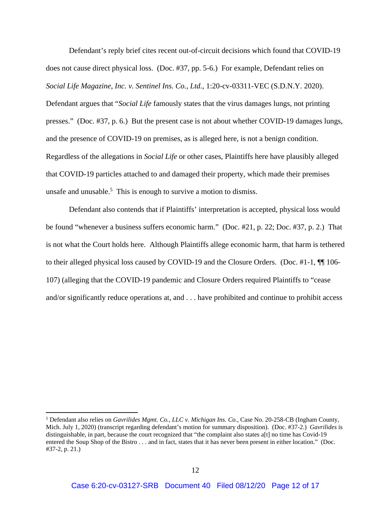Defendant's reply brief cites recent out-of-circuit decisions which found that COVID-19 does not cause direct physical loss. (Doc. #37, pp. 5-6.) For example, Defendant relies on *Social Life Magazine, Inc. v. Sentinel Ins. Co., Ltd.*, 1:20-cv-03311-VEC (S.D.N.Y. 2020). Defendant argues that "*Social Life* famously states that the virus damages lungs, not printing presses." (Doc. #37, p. 6.) But the present case is not about whether COVID-19 damages lungs, and the presence of COVID-19 on premises, as is alleged here, is not a benign condition. Regardless of the allegations in *Social Life* or other cases, Plaintiffs here have plausibly alleged that COVID-19 particles attached to and damaged their property, which made their premises unsafe and unusable.<sup>5</sup> This is enough to survive a motion to dismiss.

 Defendant also contends that if Plaintiffs' interpretation is accepted, physical loss would be found "whenever a business suffers economic harm." (Doc. #21, p. 22; Doc. #37, p. 2.) That is not what the Court holds here. Although Plaintiffs allege economic harm, that harm is tethered to their alleged physical loss caused by COVID-19 and the Closure Orders. (Doc. #1-1, ¶¶ 106- 107) (alleging that the COVID-19 pandemic and Closure Orders required Plaintiffs to "cease and/or significantly reduce operations at, and . . . have prohibited and continue to prohibit access

<sup>5</sup> Defendant also relies on *Gavrilides Mgmt. Co., LLC v. Michigan Ins. Co.*, Case No. 20-258-CB (Ingham County, Mich. July 1, 2020) (transcript regarding defendant's motion for summary disposition). (Doc. #37-2.) *Gavrilides* is distinguishable, in part, because the court recognized that "the complaint also states a[t] no time has Covid-19 entered the Soup Shop of the Bistro . . . and in fact, states that it has never been present in either location." (Doc. #37-2, p. 21.)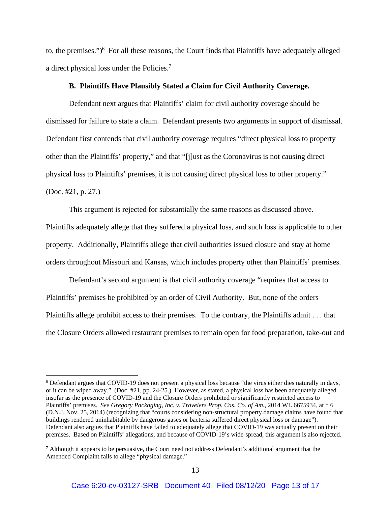to, the premises.")<sup>6</sup> For all these reasons, the Court finds that Plaintiffs have adequately alleged a direct physical loss under the Policies.<sup>7</sup>

#### **B. Plaintiffs Have Plausibly Stated a Claim for Civil Authority Coverage.**

Defendant next argues that Plaintiffs' claim for civil authority coverage should be dismissed for failure to state a claim. Defendant presents two arguments in support of dismissal. Defendant first contends that civil authority coverage requires "direct physical loss to property other than the Plaintiffs' property," and that "[j]ust as the Coronavirus is not causing direct physical loss to Plaintiffs' premises, it is not causing direct physical loss to other property." (Doc. #21, p. 27.)

 This argument is rejected for substantially the same reasons as discussed above. Plaintiffs adequately allege that they suffered a physical loss, and such loss is applicable to other property. Additionally, Plaintiffs allege that civil authorities issued closure and stay at home orders throughout Missouri and Kansas, which includes property other than Plaintiffs' premises.

 Defendant's second argument is that civil authority coverage "requires that access to Plaintiffs' premises be prohibited by an order of Civil Authority. But, none of the orders Plaintiffs allege prohibit access to their premises. To the contrary, the Plaintiffs admit . . . that the Closure Orders allowed restaurant premises to remain open for food preparation, take-out and

<sup>&</sup>lt;sup>6</sup> Defendant argues that COVID-19 does not present a physical loss because "the virus either dies naturally in days, or it can be wiped away." (Doc. #21, pp. 24-25.) However, as stated, a physical loss has been adequately alleged insofar as the presence of COVID-19 and the Closure Orders prohibited or significantly restricted access to Plaintiffs' premises. *See Gregory Packaging, Inc. v. Travelers Prop. Cas. Co. of Am.*, 2014 WL 6675934, at \* 6 (D.N.J. Nov. 25, 2014) (recognizing that "courts considering non-structural property damage claims have found that buildings rendered uninhabitable by dangerous gases or bacteria suffered direct physical loss or damage"). Defendant also argues that Plaintiffs have failed to adequately allege that COVID-19 was actually present on their premises. Based on Plaintiffs' allegations, and because of COVID-19's wide-spread, this argument is also rejected.

 $<sup>7</sup>$  Although it appears to be persuasive, the Court need not address Defendant's additional argument that the</sup> Amended Complaint fails to allege "physical damage."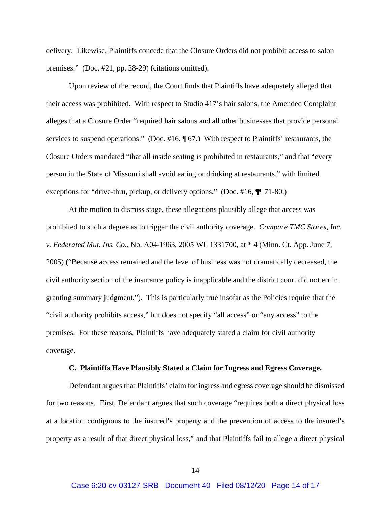delivery. Likewise, Plaintiffs concede that the Closure Orders did not prohibit access to salon premises." (Doc. #21, pp. 28-29) (citations omitted).

 Upon review of the record, the Court finds that Plaintiffs have adequately alleged that their access was prohibited. With respect to Studio 417's hair salons, the Amended Complaint alleges that a Closure Order "required hair salons and all other businesses that provide personal services to suspend operations." (Doc. #16,  $\sqrt{ }$  67.) With respect to Plaintiffs' restaurants, the Closure Orders mandated "that all inside seating is prohibited in restaurants," and that "every person in the State of Missouri shall avoid eating or drinking at restaurants," with limited exceptions for "drive-thru, pickup, or delivery options." (Doc. #16,  $\P$  71-80.)

 At the motion to dismiss stage, these allegations plausibly allege that access was prohibited to such a degree as to trigger the civil authority coverage. *Compare TMC Stores, Inc. v. Federated Mut. Ins. Co.*, No. A04-1963, 2005 WL 1331700, at \* 4 (Minn. Ct. App. June 7, 2005) ("Because access remained and the level of business was not dramatically decreased, the civil authority section of the insurance policy is inapplicable and the district court did not err in granting summary judgment."). This is particularly true insofar as the Policies require that the "civil authority prohibits access," but does not specify "all access" or "any access" to the premises. For these reasons, Plaintiffs have adequately stated a claim for civil authority coverage.

#### **C. Plaintiffs Have Plausibly Stated a Claim for Ingress and Egress Coverage.**

Defendant argues that Plaintiffs' claim for ingress and egress coverage should be dismissed for two reasons. First, Defendant argues that such coverage "requires both a direct physical loss at a location contiguous to the insured's property and the prevention of access to the insured's property as a result of that direct physical loss," and that Plaintiffs fail to allege a direct physical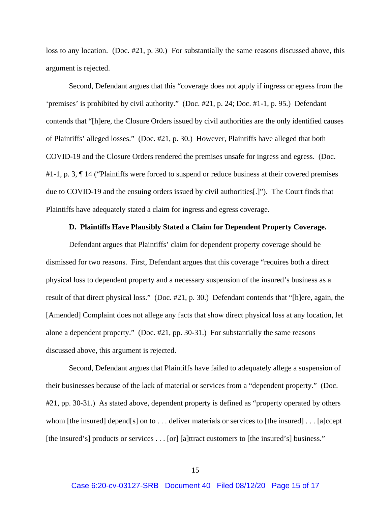loss to any location. (Doc. #21, p. 30.) For substantially the same reasons discussed above, this argument is rejected.

 Second, Defendant argues that this "coverage does not apply if ingress or egress from the 'premises' is prohibited by civil authority." (Doc. #21, p. 24; Doc. #1-1, p. 95.) Defendant contends that "[h]ere, the Closure Orders issued by civil authorities are the only identified causes of Plaintiffs' alleged losses." (Doc. #21, p. 30.) However, Plaintiffs have alleged that both COVID-19 and the Closure Orders rendered the premises unsafe for ingress and egress. (Doc. #1-1, p. 3, ¶ 14 ("Plaintiffs were forced to suspend or reduce business at their covered premises due to COVID-19 and the ensuing orders issued by civil authorities[.]"). The Court finds that Plaintiffs have adequately stated a claim for ingress and egress coverage.

#### **D. Plaintiffs Have Plausibly Stated a Claim for Dependent Property Coverage.**

Defendant argues that Plaintiffs' claim for dependent property coverage should be dismissed for two reasons. First, Defendant argues that this coverage "requires both a direct physical loss to dependent property and a necessary suspension of the insured's business as a result of that direct physical loss." (Doc. #21, p. 30.) Defendant contends that "[h]ere, again, the [Amended] Complaint does not allege any facts that show direct physical loss at any location, let alone a dependent property." (Doc. #21, pp. 30-31.) For substantially the same reasons discussed above, this argument is rejected.

 Second, Defendant argues that Plaintiffs have failed to adequately allege a suspension of their businesses because of the lack of material or services from a "dependent property." (Doc. #21, pp. 30-31.) As stated above, dependent property is defined as "property operated by others whom [the insured] depend[s] on to . . . deliver materials or services to [the insured] . . . [a]ccept [the insured's] products or services . . . [or] [a]ttract customers to [the insured's] business."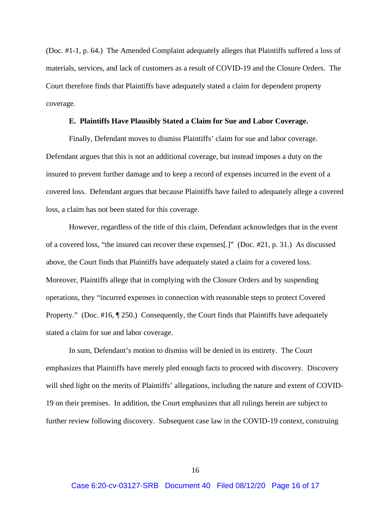(Doc. #1-1, p. 64.) The Amended Complaint adequately alleges that Plaintiffs suffered a loss of materials, services, and lack of customers as a result of COVID-19 and the Closure Orders. The Court therefore finds that Plaintiffs have adequately stated a claim for dependent property coverage.

#### **E. Plaintiffs Have Plausibly Stated a Claim for Sue and Labor Coverage.**

Finally, Defendant moves to dismiss Plaintiffs' claim for sue and labor coverage. Defendant argues that this is not an additional coverage, but instead imposes a duty on the insured to prevent further damage and to keep a record of expenses incurred in the event of a covered loss. Defendant argues that because Plaintiffs have failed to adequately allege a covered loss, a claim has not been stated for this coverage.

 However, regardless of the title of this claim, Defendant acknowledges that in the event of a covered loss, "the insured can recover these expenses[.]" (Doc. #21, p. 31.) As discussed above, the Court finds that Plaintiffs have adequately stated a claim for a covered loss. Moreover, Plaintiffs allege that in complying with the Closure Orders and by suspending operations, they "incurred expenses in connection with reasonable steps to protect Covered Property." (Doc. #16, ¶ 250.) Consequently, the Court finds that Plaintiffs have adequately stated a claim for sue and labor coverage.

 In sum, Defendant's motion to dismiss will be denied in its entirety. The Court emphasizes that Plaintiffs have merely pled enough facts to proceed with discovery. Discovery will shed light on the merits of Plaintiffs' allegations, including the nature and extent of COVID-19 on their premises. In addition, the Court emphasizes that all rulings herein are subject to further review following discovery. Subsequent case law in the COVID-19 context, construing